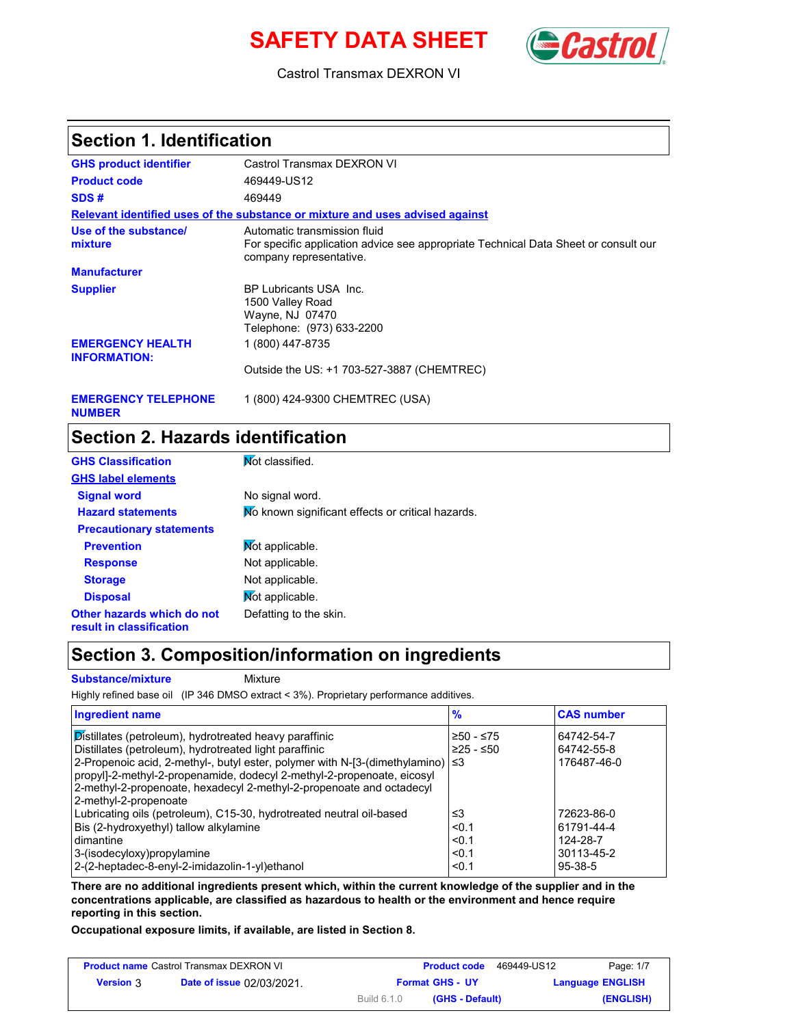# **SAFETY DATA SHEET** (**Cast**



Castrol Transmax DEXRON VI

### **Section 1. Identification**

| <b>GHS product identifier</b>                  | Castrol Transmax DEXRON VI                                                                                                                     |
|------------------------------------------------|------------------------------------------------------------------------------------------------------------------------------------------------|
| <b>Product code</b>                            | 469449-US12                                                                                                                                    |
| SDS#                                           | 469449                                                                                                                                         |
|                                                | Relevant identified uses of the substance or mixture and uses advised against                                                                  |
| Use of the substance/<br>mixture               | Automatic transmission fluid<br>For specific application advice see appropriate Technical Data Sheet or consult our<br>company representative. |
| <b>Manufacturer</b>                            |                                                                                                                                                |
| <b>Supplier</b>                                | BP Lubricants USA Inc.<br>1500 Valley Road<br>Wayne, NJ 07470<br>Telephone: (973) 633-2200                                                     |
| <b>EMERGENCY HEALTH</b><br><b>INFORMATION:</b> | 1 (800) 447-8735                                                                                                                               |
|                                                | Outside the US: +1 703-527-3887 (CHEMTREC)                                                                                                     |
|                                                |                                                                                                                                                |

#### **EMERGENCY TELEPHONE** 1 (800) 424-9300 CHEMTREC (USA) **NUMBER**

### **Section 2. Hazards identification**

| <b>GHS Classification</b>                              | Mot classified.                                   |
|--------------------------------------------------------|---------------------------------------------------|
| <b>GHS label elements</b>                              |                                                   |
| <b>Signal word</b>                                     | No signal word.                                   |
| <b>Hazard statements</b>                               | Mo known significant effects or critical hazards. |
| <b>Precautionary statements</b>                        |                                                   |
| <b>Prevention</b>                                      | Mot applicable.                                   |
| <b>Response</b>                                        | Not applicable.                                   |
| <b>Storage</b>                                         | Not applicable.                                   |
| <b>Disposal</b>                                        | Mot applicable.                                   |
| Other hazards which do not<br>result in classification | Defatting to the skin.                            |

### **Section 3. Composition/information on ingredients**

**Substance/mixture** Mixture

Highly refined base oil (IP 346 DMSO extract < 3%). Proprietary performance additives.

| <b>Ingredient name</b>                                                                | $\frac{9}{6}$ | <b>CAS number</b> |
|---------------------------------------------------------------------------------------|---------------|-------------------|
| Distillates (petroleum), hydrotreated heavy paraffinic                                | ≥50 - ≤75     | 64742-54-7        |
| Distillates (petroleum), hydrotreated light paraffinic                                | $≥25 - ≤50$   | 64742-55-8        |
| 2-Propenoic acid, 2-methyl-, butyl ester, polymer with N-[3-(dimethylamino) $ \leq 3$ |               | 176487-46-0       |
| propyl]-2-methyl-2-propenamide, dodecyl 2-methyl-2-propenoate, eicosyl                |               |                   |
| 2-methyl-2-propenoate, hexadecyl 2-methyl-2-propenoate and octadecyl                  |               |                   |
| 2-methyl-2-propenoate                                                                 |               |                   |
| Lubricating oils (petroleum), C15-30, hydrotreated neutral oil-based                  | ו≥ ≤          | 72623-86-0        |
| Bis (2-hydroxyethyl) tallow alkylamine                                                | < 0.1         | 61791-44-4        |
| dimantine                                                                             | < 0.1         | 124-28-7          |
| 3-(isodecyloxy)propylamine                                                            | < 0.1         | 30113-45-2        |
| 2-(2-heptadec-8-enyl-2-imidazolin-1-yl)ethanol                                        | < 0.1         | $95 - 38 - 5$     |

**There are no additional ingredients present which, within the current knowledge of the supplier and in the concentrations applicable, are classified as hazardous to health or the environment and hence require reporting in this section.**

**Occupational exposure limits, if available, are listed in Section 8.**

| <b>Product name Castrol Transmax DEXRON VI</b> |                                  |                        | <b>Product code</b> | 469449-US12 | Page: 1/7               |
|------------------------------------------------|----------------------------------|------------------------|---------------------|-------------|-------------------------|
| <b>Version</b> 3                               | <b>Date of issue 02/03/2021.</b> | <b>Format GHS - UY</b> |                     |             | <b>Language ENGLISH</b> |
|                                                |                                  | Build 6.1.0            | (GHS - Default)     |             | (ENGLISH)               |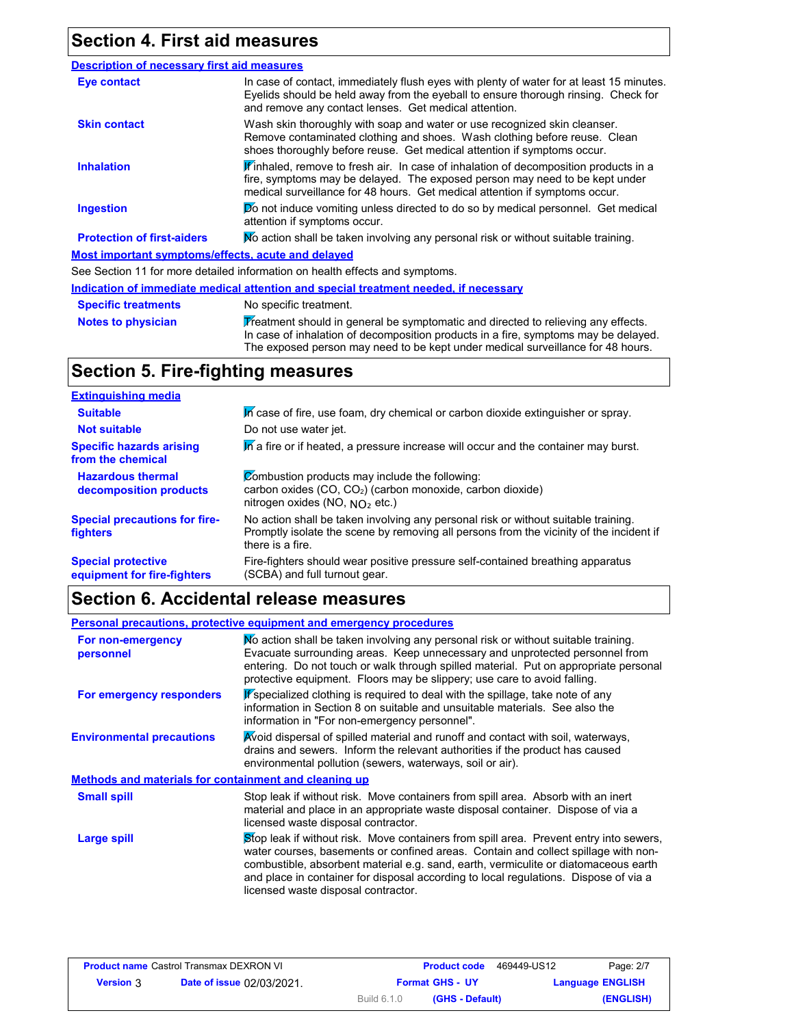## **Section 4. First aid measures**

| <b>Description of necessary first aid measures</b> |                                                                                                                                                                                                                                                            |
|----------------------------------------------------|------------------------------------------------------------------------------------------------------------------------------------------------------------------------------------------------------------------------------------------------------------|
| Eye contact                                        | In case of contact, immediately flush eyes with plenty of water for at least 15 minutes.<br>Eyelids should be held away from the eyeball to ensure thorough rinsing. Check for<br>and remove any contact lenses. Get medical attention.                    |
| <b>Skin contact</b>                                | Wash skin thoroughly with soap and water or use recognized skin cleanser.<br>Remove contaminated clothing and shoes. Wash clothing before reuse. Clean<br>shoes thoroughly before reuse. Get medical attention if symptoms occur.                          |
| <b>Inhalation</b>                                  | <b>If</b> inhaled, remove to fresh air. In case of inhalation of decomposition products in a<br>fire, symptoms may be delayed. The exposed person may need to be kept under<br>medical surveillance for 48 hours. Get medical attention if symptoms occur. |
| <b>Ingestion</b>                                   | Do not induce vomiting unless directed to do so by medical personnel. Get medical<br>attention if symptoms occur.                                                                                                                                          |
| <b>Protection of first-aiders</b>                  | No action shall be taken involving any personal risk or without suitable training.                                                                                                                                                                         |
| Most important symptoms/effects, acute and delayed |                                                                                                                                                                                                                                                            |
|                                                    | See Section 11 for more detailed information on health effects and symptoms.                                                                                                                                                                               |
|                                                    | Indication of immediate medical attention and special treatment needed, if necessary                                                                                                                                                                       |
| <b>Specific treatments</b>                         | No specific treatment.                                                                                                                                                                                                                                     |
|                                                    |                                                                                                                                                                                                                                                            |

**Notes to physician** Treatment should in general be symptomatic and directed to relieving any effects. In case of inhalation of decomposition products in a fire, symptoms may be delayed. The exposed person may need to be kept under medical surveillance for 48 hours.

## **Section 5. Fire-fighting measures**

| <b>Extinguishing media</b>                               |                                                                                                                                                                                                   |
|----------------------------------------------------------|---------------------------------------------------------------------------------------------------------------------------------------------------------------------------------------------------|
| <b>Suitable</b>                                          | In case of fire, use foam, dry chemical or carbon dioxide extinguisher or spray.                                                                                                                  |
| <b>Not suitable</b>                                      | Do not use water jet.                                                                                                                                                                             |
| <b>Specific hazards arising</b><br>from the chemical     | In a fire or if heated, a pressure increase will occur and the container may burst.                                                                                                               |
| <b>Hazardous thermal</b><br>decomposition products       | Combustion products may include the following:<br>carbon oxides (CO, CO <sub>2</sub> ) (carbon monoxide, carbon dioxide)<br>nitrogen oxides (NO, $NO2$ etc.)                                      |
| <b>Special precautions for fire-</b><br>fighters         | No action shall be taken involving any personal risk or without suitable training.<br>Promptly isolate the scene by removing all persons from the vicinity of the incident if<br>there is a fire. |
| <b>Special protective</b><br>equipment for fire-fighters | Fire-fighters should wear positive pressure self-contained breathing apparatus<br>(SCBA) and full turnout gear.                                                                                   |

# **Section 6. Accidental release measures**

|                                                       | <b>Personal precautions, protective equipment and emergency procedures</b>                                                                                                                                                                                                                                                                                                                         |
|-------------------------------------------------------|----------------------------------------------------------------------------------------------------------------------------------------------------------------------------------------------------------------------------------------------------------------------------------------------------------------------------------------------------------------------------------------------------|
| For non-emergency<br>personnel                        | No action shall be taken involving any personal risk or without suitable training.<br>Evacuate surrounding areas. Keep unnecessary and unprotected personnel from<br>entering. Do not touch or walk through spilled material. Put on appropriate personal<br>protective equipment. Floors may be slippery; use care to avoid falling.                                                              |
| For emergency responders                              | Fspecialized clothing is required to deal with the spillage, take note of any<br>information in Section 8 on suitable and unsuitable materials. See also the<br>information in "For non-emergency personnel".                                                                                                                                                                                      |
| <b>Environmental precautions</b>                      | Avoid dispersal of spilled material and runoff and contact with soil, waterways,<br>drains and sewers. Inform the relevant authorities if the product has caused<br>environmental pollution (sewers, waterways, soil or air).                                                                                                                                                                      |
| Methods and materials for containment and cleaning up |                                                                                                                                                                                                                                                                                                                                                                                                    |
| <b>Small spill</b>                                    | Stop leak if without risk. Move containers from spill area. Absorb with an inert<br>material and place in an appropriate waste disposal container. Dispose of via a<br>licensed waste disposal contractor.                                                                                                                                                                                         |
| Large spill                                           | Stop leak if without risk. Move containers from spill area. Prevent entry into sewers,<br>water courses, basements or confined areas. Contain and collect spillage with non-<br>combustible, absorbent material e.g. sand, earth, vermiculite or diatomaceous earth<br>and place in container for disposal according to local regulations. Dispose of via a<br>licensed waste disposal contractor. |

| <b>Product name Castrol Transmax DEXRON VI</b> |                                  |                        | <b>Product code</b> | 469449-US12 | Page: 2/7               |
|------------------------------------------------|----------------------------------|------------------------|---------------------|-------------|-------------------------|
| <b>Version 3</b>                               | <b>Date of issue 02/03/2021.</b> | <b>Format GHS - UY</b> |                     |             | <b>Language ENGLISH</b> |
|                                                |                                  | Build 6.1.0            | (GHS - Default)     |             | (ENGLISH)               |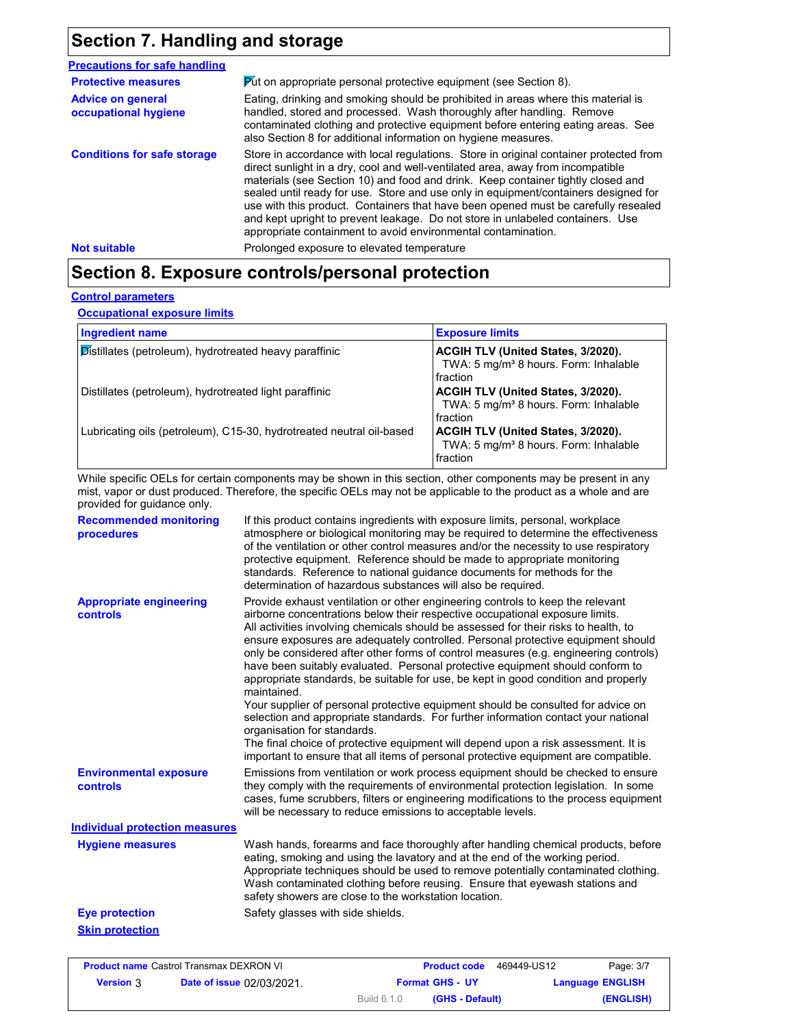## **Section 7. Handling and storage**

| <b>Precautions for safe handling</b>             |                                                                                                                                                                                                                                                                                                                                                                                                                                                                                                                                                                                               |  |
|--------------------------------------------------|-----------------------------------------------------------------------------------------------------------------------------------------------------------------------------------------------------------------------------------------------------------------------------------------------------------------------------------------------------------------------------------------------------------------------------------------------------------------------------------------------------------------------------------------------------------------------------------------------|--|
| <b>Protective measures</b>                       | <b>Put on appropriate personal protective equipment (see Section 8).</b>                                                                                                                                                                                                                                                                                                                                                                                                                                                                                                                      |  |
| <b>Advice on general</b><br>occupational hygiene | Eating, drinking and smoking should be prohibited in areas where this material is<br>handled, stored and processed. Wash thoroughly after handling. Remove<br>contaminated clothing and protective equipment before entering eating areas. See<br>also Section 8 for additional information on hygiene measures.                                                                                                                                                                                                                                                                              |  |
| <b>Conditions for safe storage</b>               | Store in accordance with local regulations. Store in original container protected from<br>direct sunlight in a dry, cool and well-ventilated area, away from incompatible<br>materials (see Section 10) and food and drink. Keep container tightly closed and<br>sealed until ready for use. Store and use only in equipment/containers designed for<br>use with this product. Containers that have been opened must be carefully resealed<br>and kept upright to prevent leakage. Do not store in unlabeled containers. Use<br>appropriate containment to avoid environmental contamination. |  |
| <b>Not suitable</b>                              | Prolonged exposure to elevated temperature                                                                                                                                                                                                                                                                                                                                                                                                                                                                                                                                                    |  |

# **Section 8. Exposure controls/personal protection**

#### **Control parameters**

**Occupational exposure limits**

| <b>Ingredient name</b>                                               | <b>Exposure limits</b>                                                                                     |
|----------------------------------------------------------------------|------------------------------------------------------------------------------------------------------------|
| Distillates (petroleum), hydrotreated heavy paraffinic               | ACGIH TLV (United States, 3/2020).<br>TWA: 5 mg/m <sup>3</sup> 8 hours. Form: Inhalable<br>fraction        |
| Distillates (petroleum), hydrotreated light paraffinic               | <b>ACGIH TLV (United States, 3/2020).</b><br>TWA: 5 mg/m <sup>3</sup> 8 hours. Form: Inhalable<br>fraction |
| Lubricating oils (petroleum), C15-30, hydrotreated neutral oil-based | ACGIH TLV (United States, 3/2020).<br>TWA: 5 mg/m <sup>3</sup> 8 hours. Form: Inhalable<br>fraction        |

While specific OELs for certain components may be shown in this section, other components may be present in any mist, vapor or dust produced. Therefore, the specific OELs may not be applicable to the product as a whole and are provided for guidance only.

| <b>Recommended monitoring</b><br>procedures | If this product contains ingredients with exposure limits, personal, workplace<br>atmosphere or biological monitoring may be required to determine the effectiveness<br>of the ventilation or other control measures and/or the necessity to use respiratory<br>protective equipment. Reference should be made to appropriate monitoring<br>standards. Reference to national guidance documents for methods for the<br>determination of hazardous substances will also be required.                                                                                                                                                                                                                                                                                                                                                                                                                                                                                                                           |
|---------------------------------------------|---------------------------------------------------------------------------------------------------------------------------------------------------------------------------------------------------------------------------------------------------------------------------------------------------------------------------------------------------------------------------------------------------------------------------------------------------------------------------------------------------------------------------------------------------------------------------------------------------------------------------------------------------------------------------------------------------------------------------------------------------------------------------------------------------------------------------------------------------------------------------------------------------------------------------------------------------------------------------------------------------------------|
| <b>Appropriate engineering</b><br>controls  | Provide exhaust ventilation or other engineering controls to keep the relevant<br>airborne concentrations below their respective occupational exposure limits.<br>All activities involving chemicals should be assessed for their risks to health, to<br>ensure exposures are adequately controlled. Personal protective equipment should<br>only be considered after other forms of control measures (e.g. engineering controls)<br>have been suitably evaluated. Personal protective equipment should conform to<br>appropriate standards, be suitable for use, be kept in good condition and properly<br>maintained.<br>Your supplier of personal protective equipment should be consulted for advice on<br>selection and appropriate standards. For further information contact your national<br>organisation for standards.<br>The final choice of protective equipment will depend upon a risk assessment. It is<br>important to ensure that all items of personal protective equipment are compatible. |
| <b>Environmental exposure</b><br>controls   | Emissions from ventilation or work process equipment should be checked to ensure<br>they comply with the requirements of environmental protection legislation. In some<br>cases, fume scrubbers, filters or engineering modifications to the process equipment<br>will be necessary to reduce emissions to acceptable levels.                                                                                                                                                                                                                                                                                                                                                                                                                                                                                                                                                                                                                                                                                 |
| <b>Individual protection measures</b>       |                                                                                                                                                                                                                                                                                                                                                                                                                                                                                                                                                                                                                                                                                                                                                                                                                                                                                                                                                                                                               |
| <b>Hygiene measures</b>                     | Wash hands, forearms and face thoroughly after handling chemical products, before<br>eating, smoking and using the lavatory and at the end of the working period.<br>Appropriate techniques should be used to remove potentially contaminated clothing.<br>Wash contaminated clothing before reusing. Ensure that eyewash stations and<br>safety showers are close to the workstation location.                                                                                                                                                                                                                                                                                                                                                                                                                                                                                                                                                                                                               |
| <b>Eye protection</b>                       | Safety glasses with side shields.                                                                                                                                                                                                                                                                                                                                                                                                                                                                                                                                                                                                                                                                                                                                                                                                                                                                                                                                                                             |
| <b>Skin protection</b>                      |                                                                                                                                                                                                                                                                                                                                                                                                                                                                                                                                                                                                                                                                                                                                                                                                                                                                                                                                                                                                               |

| <b>Product name Castrol Transmax DEXRON VI</b> |                                  |                        | <b>Product code</b> | 469449-US12 | Page: 3/7               |
|------------------------------------------------|----------------------------------|------------------------|---------------------|-------------|-------------------------|
| <b>Version</b> 3                               | <b>Date of issue 02/03/2021.</b> | <b>Format GHS - UY</b> |                     |             | <b>Language ENGLISH</b> |
|                                                |                                  | Build 6.1.0            | (GHS - Default)     |             | (ENGLISH)               |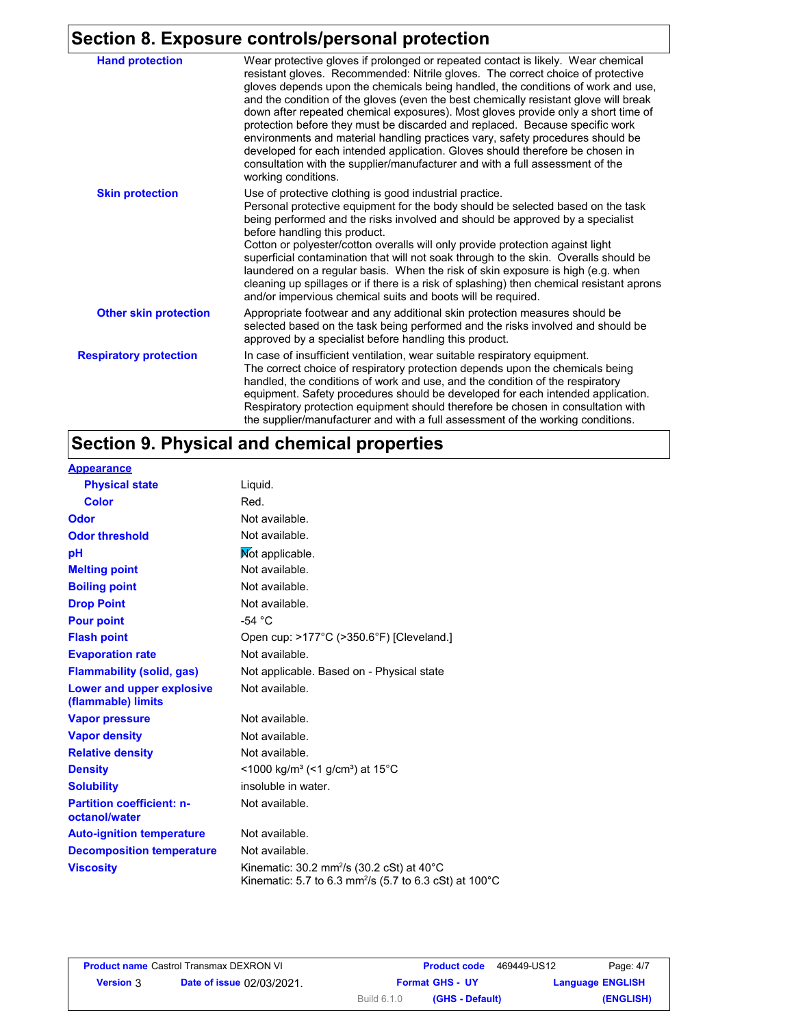# **Section 8. Exposure controls/personal protection**

| <b>Hand protection</b>        | Wear protective gloves if prolonged or repeated contact is likely. Wear chemical<br>resistant gloves. Recommended: Nitrile gloves. The correct choice of protective<br>gloves depends upon the chemicals being handled, the conditions of work and use,<br>and the condition of the gloves (even the best chemically resistant glove will break<br>down after repeated chemical exposures). Most gloves provide only a short time of<br>protection before they must be discarded and replaced. Because specific work<br>environments and material handling practices vary, safety procedures should be<br>developed for each intended application. Gloves should therefore be chosen in<br>consultation with the supplier/manufacturer and with a full assessment of the<br>working conditions. |
|-------------------------------|-------------------------------------------------------------------------------------------------------------------------------------------------------------------------------------------------------------------------------------------------------------------------------------------------------------------------------------------------------------------------------------------------------------------------------------------------------------------------------------------------------------------------------------------------------------------------------------------------------------------------------------------------------------------------------------------------------------------------------------------------------------------------------------------------|
| <b>Skin protection</b>        | Use of protective clothing is good industrial practice.<br>Personal protective equipment for the body should be selected based on the task<br>being performed and the risks involved and should be approved by a specialist<br>before handling this product.<br>Cotton or polyester/cotton overalls will only provide protection against light<br>superficial contamination that will not soak through to the skin. Overalls should be<br>laundered on a regular basis. When the risk of skin exposure is high (e.g. when<br>cleaning up spillages or if there is a risk of splashing) then chemical resistant aprons<br>and/or impervious chemical suits and boots will be required.                                                                                                           |
| <b>Other skin protection</b>  | Appropriate footwear and any additional skin protection measures should be<br>selected based on the task being performed and the risks involved and should be<br>approved by a specialist before handling this product.                                                                                                                                                                                                                                                                                                                                                                                                                                                                                                                                                                         |
| <b>Respiratory protection</b> | In case of insufficient ventilation, wear suitable respiratory equipment.<br>The correct choice of respiratory protection depends upon the chemicals being<br>handled, the conditions of work and use, and the condition of the respiratory<br>equipment. Safety procedures should be developed for each intended application.<br>Respiratory protection equipment should therefore be chosen in consultation with<br>the supplier/manufacturer and with a full assessment of the working conditions.                                                                                                                                                                                                                                                                                           |

# **Section 9. Physical and chemical properties**

| <b>Appearance</b>                                      |                                                                                                                                        |
|--------------------------------------------------------|----------------------------------------------------------------------------------------------------------------------------------------|
| <b>Physical state</b>                                  | Liguid.                                                                                                                                |
| Color                                                  | Red.                                                                                                                                   |
| Odor                                                   | Not available.                                                                                                                         |
| <b>Odor threshold</b>                                  | Not available.                                                                                                                         |
| рH                                                     | Not applicable.                                                                                                                        |
| <b>Melting point</b>                                   | Not available.                                                                                                                         |
| <b>Boiling point</b>                                   | Not available.                                                                                                                         |
| <b>Drop Point</b>                                      | Not available.                                                                                                                         |
| <b>Pour point</b>                                      | -54 $^{\circ}$ C                                                                                                                       |
| <b>Flash point</b>                                     | Open cup: >177°C (>350.6°F) [Cleveland.]                                                                                               |
| <b>Evaporation rate</b>                                | Not available.                                                                                                                         |
| <b>Flammability (solid, gas)</b>                       | Not applicable. Based on - Physical state                                                                                              |
| <b>Lower and upper explosive</b><br>(flammable) limits | Not available.                                                                                                                         |
| <b>Vapor pressure</b>                                  | Not available.                                                                                                                         |
| <b>Vapor density</b>                                   | Not available.                                                                                                                         |
| <b>Relative density</b>                                | Not available.                                                                                                                         |
| <b>Density</b>                                         | $<$ 1000 kg/m <sup>3</sup> (<1 g/cm <sup>3</sup> ) at 15 <sup>°</sup> C                                                                |
| <b>Solubility</b>                                      | insoluble in water.                                                                                                                    |
| <b>Partition coefficient: n-</b><br>octanol/water      | Not available.                                                                                                                         |
| <b>Auto-ignition temperature</b>                       | Not available.                                                                                                                         |
| <b>Decomposition temperature</b>                       | Not available.                                                                                                                         |
| <b>Viscosity</b>                                       | Kinematic: 30.2 mm <sup>2</sup> /s (30.2 cSt) at 40°C<br>Kinematic: 5.7 to 6.3 mm <sup>2</sup> /s (5.7 to 6.3 cSt) at 100 $^{\circ}$ C |

|                  | <b>Product name Castrol Transmax DEXRON VI</b> | <b>Product code</b>            | 469449-US12<br>Page: 4/7 |
|------------------|------------------------------------------------|--------------------------------|--------------------------|
| <b>Version</b> 3 | <b>Date of issue 02/03/2021.</b>               | <b>Format GHS - UY</b>         | <b>Language ENGLISH</b>  |
|                  |                                                | (GHS - Default)<br>Build 6.1.0 | (ENGLISH)                |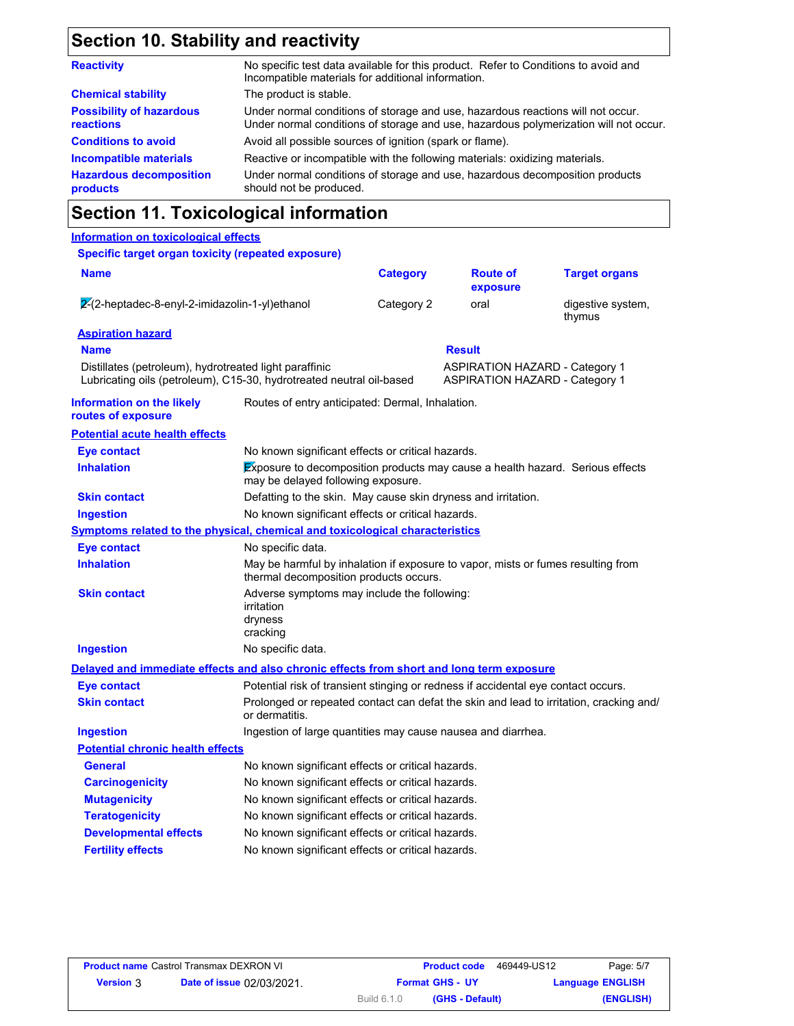# **Section 10. Stability and reactivity**

| No specific test data available for this product. Refer to Conditions to avoid and<br>Incompatible materials for additional information.                                |  |  |
|-------------------------------------------------------------------------------------------------------------------------------------------------------------------------|--|--|
| The product is stable.                                                                                                                                                  |  |  |
| Under normal conditions of storage and use, hazardous reactions will not occur.<br>Under normal conditions of storage and use, hazardous polymerization will not occur. |  |  |
| Avoid all possible sources of ignition (spark or flame).                                                                                                                |  |  |
| Reactive or incompatible with the following materials: oxidizing materials.                                                                                             |  |  |
| Under normal conditions of storage and use, hazardous decomposition products<br>should not be produced.                                                                 |  |  |
|                                                                                                                                                                         |  |  |

## **Section 11. Toxicological information**

### **Information on toxicological effects**

#### **Specific target organ toxicity (repeated exposure)**

| <b>Name</b>                                                                                                                    |                                                                                                                            | <b>Category</b> | <b>Route of</b><br>exposure                                                    | <b>Target organs</b>        |
|--------------------------------------------------------------------------------------------------------------------------------|----------------------------------------------------------------------------------------------------------------------------|-----------------|--------------------------------------------------------------------------------|-----------------------------|
| 2-(2-heptadec-8-enyl-2-imidazolin-1-yl)ethanol                                                                                 |                                                                                                                            | Category 2      | oral                                                                           | digestive system,<br>thymus |
| <b>Aspiration hazard</b><br><b>Name</b>                                                                                        |                                                                                                                            |                 | <b>Result</b>                                                                  |                             |
| Distillates (petroleum), hydrotreated light paraffinic<br>Lubricating oils (petroleum), C15-30, hydrotreated neutral oil-based |                                                                                                                            |                 | <b>ASPIRATION HAZARD - Category 1</b><br><b>ASPIRATION HAZARD - Category 1</b> |                             |
| <b>Information on the likely</b><br>routes of exposure                                                                         | Routes of entry anticipated: Dermal, Inhalation.                                                                           |                 |                                                                                |                             |
| <b>Potential acute health effects</b>                                                                                          |                                                                                                                            |                 |                                                                                |                             |
| Eye contact                                                                                                                    | No known significant effects or critical hazards.                                                                          |                 |                                                                                |                             |
| <b>Inhalation</b>                                                                                                              | Exposure to decomposition products may cause a health hazard. Serious effects<br>may be delayed following exposure.        |                 |                                                                                |                             |
| <b>Skin contact</b>                                                                                                            | Defatting to the skin. May cause skin dryness and irritation.                                                              |                 |                                                                                |                             |
| <b>Ingestion</b>                                                                                                               | No known significant effects or critical hazards.                                                                          |                 |                                                                                |                             |
| Symptoms related to the physical, chemical and toxicological characteristics                                                   |                                                                                                                            |                 |                                                                                |                             |
| <b>Eye contact</b>                                                                                                             | No specific data.                                                                                                          |                 |                                                                                |                             |
| <b>Inhalation</b>                                                                                                              | May be harmful by inhalation if exposure to vapor, mists or fumes resulting from<br>thermal decomposition products occurs. |                 |                                                                                |                             |
| <b>Skin contact</b>                                                                                                            | Adverse symptoms may include the following:<br>irritation<br>dryness<br>cracking                                           |                 |                                                                                |                             |
| <b>Ingestion</b>                                                                                                               | No specific data.                                                                                                          |                 |                                                                                |                             |
| Delayed and immediate effects and also chronic effects from short and long term exposure                                       |                                                                                                                            |                 |                                                                                |                             |
| <b>Eye contact</b>                                                                                                             | Potential risk of transient stinging or redness if accidental eye contact occurs.                                          |                 |                                                                                |                             |
| <b>Skin contact</b>                                                                                                            | Prolonged or repeated contact can defat the skin and lead to irritation, cracking and/<br>or dermatitis.                   |                 |                                                                                |                             |
| <b>Ingestion</b>                                                                                                               | Ingestion of large quantities may cause nausea and diarrhea.                                                               |                 |                                                                                |                             |
| <b>Potential chronic health effects</b>                                                                                        |                                                                                                                            |                 |                                                                                |                             |
| <b>General</b>                                                                                                                 | No known significant effects or critical hazards.                                                                          |                 |                                                                                |                             |
| <b>Carcinogenicity</b>                                                                                                         | No known significant effects or critical hazards.                                                                          |                 |                                                                                |                             |
| <b>Mutagenicity</b>                                                                                                            | No known significant effects or critical hazards.                                                                          |                 |                                                                                |                             |
| <b>Teratogenicity</b>                                                                                                          | No known significant effects or critical hazards.                                                                          |                 |                                                                                |                             |
| <b>Developmental effects</b>                                                                                                   | No known significant effects or critical hazards.                                                                          |                 |                                                                                |                             |
| <b>Fertility effects</b>                                                                                                       | No known significant effects or critical hazards.                                                                          |                 |                                                                                |                             |
|                                                                                                                                |                                                                                                                            |                 |                                                                                |                             |

|                  | <b>Product name Castrol Transmax DEXRON VI</b> | <b>Product code</b>            | 469449-US12<br>Page: 5/7 |
|------------------|------------------------------------------------|--------------------------------|--------------------------|
| <b>Version 3</b> | <b>Date of issue 02/03/2021.</b>               | <b>Format GHS - UY</b>         | <b>Language ENGLISH</b>  |
|                  |                                                | Build 6.1.0<br>(GHS - Default) | (ENGLISH)                |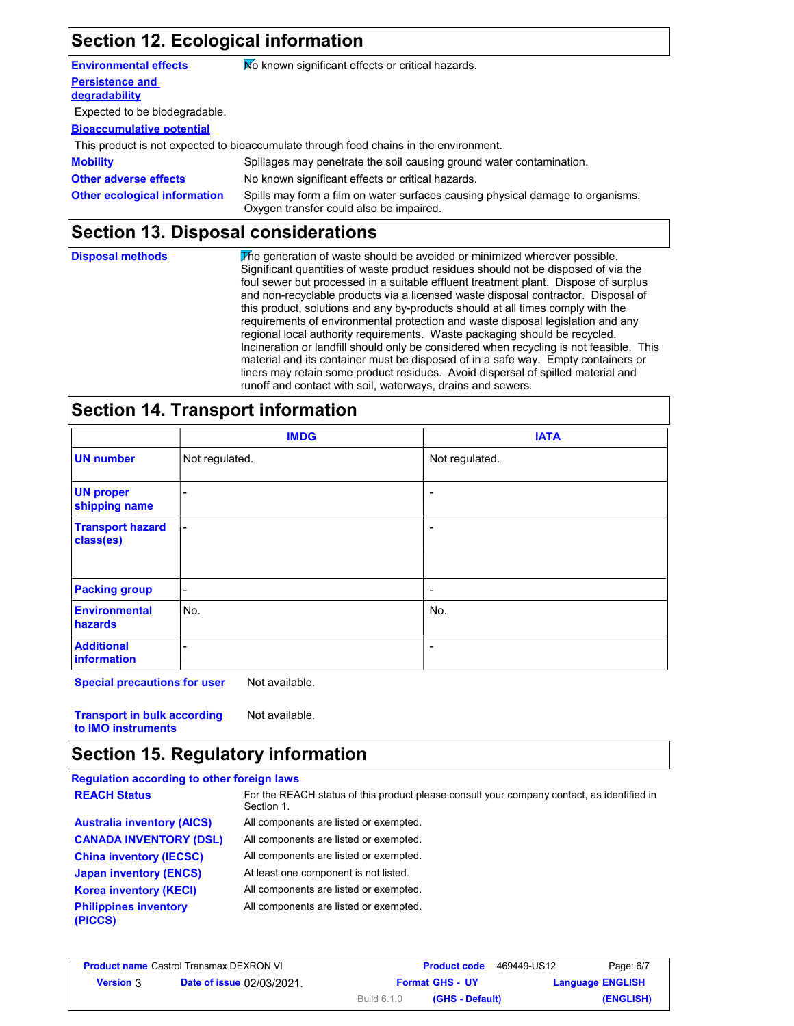# **Section 12. Ecological information**

| <b>Environmental effects</b>            | No known significant effects or critical hazards.                                                                         |
|-----------------------------------------|---------------------------------------------------------------------------------------------------------------------------|
| <b>Persistence and</b><br>degradability |                                                                                                                           |
| Expected to be biodegradable.           |                                                                                                                           |
| <b>Bioaccumulative potential</b>        |                                                                                                                           |
|                                         | This product is not expected to bioaccumulate through food chains in the environment.                                     |
| <b>Mobility</b>                         | Spillages may penetrate the soil causing ground water contamination.                                                      |
| <b>Other adverse effects</b>            | No known significant effects or critical hazards.                                                                         |
| <b>Other ecological information</b>     | Spills may form a film on water surfaces causing physical damage to organisms.<br>Oxygen transfer could also be impaired. |

# **Section 13. Disposal considerations**

| <b>Disposal methods</b> | The generation of waste should be avoided or minimized wherever possible.<br>Significant quantities of waste product residues should not be disposed of via the<br>foul sewer but processed in a suitable effluent treatment plant. Dispose of surplus<br>and non-recyclable products via a licensed waste disposal contractor. Disposal of<br>this product, solutions and any by-products should at all times comply with the<br>requirements of environmental protection and waste disposal legislation and any<br>regional local authority requirements. Waste packaging should be recycled.<br>Incineration or landfill should only be considered when recycling is not feasible. This<br>material and its container must be disposed of in a safe way. Empty containers or |
|-------------------------|---------------------------------------------------------------------------------------------------------------------------------------------------------------------------------------------------------------------------------------------------------------------------------------------------------------------------------------------------------------------------------------------------------------------------------------------------------------------------------------------------------------------------------------------------------------------------------------------------------------------------------------------------------------------------------------------------------------------------------------------------------------------------------|
|                         | liners may retain some product residues. Avoid dispersal of spilled material and<br>runoff and contact with soil, waterways, drains and sewers.                                                                                                                                                                                                                                                                                                                                                                                                                                                                                                                                                                                                                                 |

# **Section 14. Transport information**

|                                        | <b>IMDG</b>              | <b>IATA</b>              |  |
|----------------------------------------|--------------------------|--------------------------|--|
| <b>UN number</b>                       | Not regulated.           | Not regulated.           |  |
| <b>UN proper</b><br>shipping name      | ۰                        |                          |  |
| <b>Transport hazard</b><br>class(es)   | $\blacksquare$           | -                        |  |
| <b>Packing group</b>                   | $\sim$                   | $\overline{\phantom{0}}$ |  |
| <b>Environmental</b><br><b>hazards</b> | No.                      | No.                      |  |
| <b>Additional</b><br>information       | $\overline{\phantom{a}}$ | $\overline{\phantom{0}}$ |  |

**Special precautions for user** Not available.

**Transport in bulk according to IMO instruments** Not available.

## **Section 15. Regulatory information**

| <b>Regulation according to other foreign laws</b> |                                                                                                          |
|---------------------------------------------------|----------------------------------------------------------------------------------------------------------|
| <b>REACH Status</b>                               | For the REACH status of this product please consult your company contact, as identified in<br>Section 1. |
| <b>Australia inventory (AICS)</b>                 | All components are listed or exempted.                                                                   |
| <b>CANADA INVENTORY (DSL)</b>                     | All components are listed or exempted.                                                                   |
| <b>China inventory (IECSC)</b>                    | All components are listed or exempted.                                                                   |
| <b>Japan inventory (ENCS)</b>                     | At least one component is not listed.                                                                    |
| <b>Korea inventory (KECI)</b>                     | All components are listed or exempted.                                                                   |
| <b>Philippines inventory</b><br>(PICCS)           | All components are listed or exempted.                                                                   |

|                  | <b>Product name Castrol Transmax DEXRON VI</b> |                    | <b>Product code</b>    | 469449-US12 | Page: 6/7               |
|------------------|------------------------------------------------|--------------------|------------------------|-------------|-------------------------|
| <b>Version 3</b> | <b>Date of issue 02/03/2021.</b>               |                    | <b>Format GHS - UY</b> |             | <b>Language ENGLISH</b> |
|                  |                                                | <b>Build 6.1.0</b> | (GHS - Default)        |             | (ENGLISH)               |